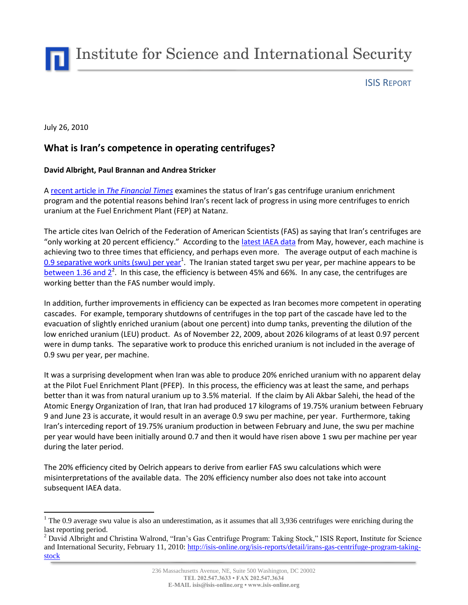Institute for Science and International Security

ISIS REPORT

July 26, 2010

 $\overline{a}$ 

## **What is Iran's competence in operating centrifuges?**

## **David Albright, Paul Brannan and Andrea Stricker**

A [recent article in](http://www.ft.com/cms/s/0/dc135fc6-95af-11df-b5ad-00144feab49a.html) *The Financial Times* examines the status of Iran's gas centrifuge uranium enrichment program and the potential reasons behind Iran's recent lack of progress in using more centrifuges to enrich uranium at the Fuel Enrichment Plant (FEP) at Natanz.

The article cites Ivan Oelrich of the Federation of American Scientists (FAS) as saying that Iran's centrifuges are "only working at 20 percent efficiency." According to the [latest IAEA data](http://isis-online.org/uploads/isis-reports/documents/IAEA_Report_Iran_31May2010.pdf) from May, however, each machine is achieving two to three times that efficiency, and perhaps even more. The average output of each machine is [0.9 separative work units \(swu\) per year](http://isis-online.org/isis-reports/detail/iaea-iran-report-enrichment-increases-slightly-lack-of-adequate-safeguards/)<sup>1</sup>. The Iranian stated target swu per year, per machine appears to be between 1.36 and  $2^2$ . In this case, the efficiency is between 45% and 66%. In any case, the centrifuges are working better than the FAS number would imply.

In addition, further improvements in efficiency can be expected as Iran becomes more competent in operating cascades. For example, temporary shutdowns of centrifuges in the top part of the cascade have led to the evacuation of slightly enriched uranium (about one percent) into dump tanks, preventing the dilution of the low enriched uranium (LEU) product. As of November 22, 2009, about 2026 kilograms of at least 0.97 percent were in dump tanks. The separative work to produce this enriched uranium is not included in the average of 0.9 swu per year, per machine.

It was a surprising development when Iran was able to produce 20% enriched uranium with no apparent delay at the Pilot Fuel Enrichment Plant (PFEP). In this process, the efficiency was at least the same, and perhaps better than it was from natural uranium up to 3.5% material. If the claim by Ali Akbar Salehi, the head of the Atomic Energy Organization of Iran, that Iran had produced 17 kilograms of 19.75% uranium between February 9 and June 23 is accurate, it would result in an average 0.9 swu per machine, per year. Furthermore, taking Iran's interceding report of 19.75% uranium production in between February and June, the swu per machine per year would have been initially around 0.7 and then it would have risen above 1 swu per machine per year during the later period.

The 20% efficiency cited by Oelrich appears to derive from earlier FAS swu calculations which were misinterpretations of the available data. The 20% efficiency number also does not take into account subsequent IAEA data.

 $1$  The 0.9 average swu value is also an underestimation, as it assumes that all 3,936 centrifuges were enriching during the last reporting period.

<sup>&</sup>lt;sup>2</sup> David Albright and Christina Walrond, "Iran's Gas Centrifuge Program: Taking Stock," ISIS Report, Institute for Science and International Security, February 11, 2010: [http://isis-online.org/isis-reports/detail/irans-gas-centrifuge-program-taking](http://isis-online.org/isis-reports/detail/irans-gas-centrifuge-program-taking-stock)[stock](http://isis-online.org/isis-reports/detail/irans-gas-centrifuge-program-taking-stock)